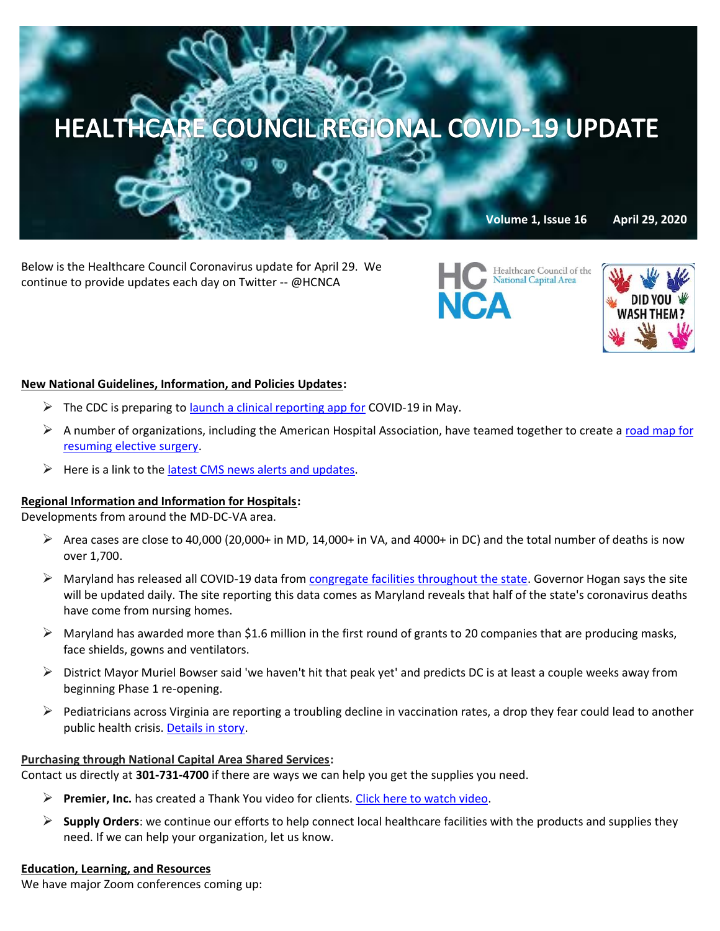

Below is the Healthcare Council Coronavirus update for April 29. We continue to provide updates each day on Twitter -- @HCNCA



Healthcare Council of the National Capital Area

#### **New National Guidelines, Information, and Policies Updates:**

- $\triangleright$  The CDC is preparing to **launch a clinical reporting app for COVID-19** in May.
- $\triangleright$  A number of organizations, including the American Hospital Association, have teamed together to create a road map for [resuming elective surgery.](https://www.asahq.org/about-asa/newsroom/news-releases/2020/04/joint-statement-on-elective-surgery-after-covid-19-pandemic)
- $\triangleright$  Here is a link to the [latest CMS news alerts and updates.](https://www.cms.gov/newsroom/press-releases/cms-news-alert-april-27-2020)

# **Regional Information and Information for Hospitals:**

Developments from around the MD-DC-VA area.

- $\triangleright$  Area cases are close to 40,000 (20,000+ in MD, 14,000+ in VA, and 4000+ in DC) and the total number of deaths is now over 1,700.
- $\triangleright$  Maryland has released all COVID-19 data from [congregate facilities throughout the state.](https://coronavirus.maryland.gov/pages/hcf-resources) Governor Hogan says the site will be updated daily. The site reporting this data comes as Maryland reveals that half of the state's coronavirus deaths have come from nursing homes.
- $\triangleright$  Maryland has awarded more than \$1.6 million in the first round of grants to 20 companies that are producing masks, face shields, gowns and ventilators.
- $\triangleright$  District Mayor Muriel Bowser said 'we haven't hit that peak yet' and predicts DC is at least a couple weeks away from beginning Phase 1 re-opening.
- $\triangleright$  Pediatricians across Virginia are reporting a troubling decline in vaccination rates, a drop they fear could lead to another public health crisis. [Details in story.](https://www.wtkr.com/news/health/taking-action-for-your-health/childhood-vaccination-rates-in-virginia-see-alarming-decline)

# **Purchasing through National Capital Area Shared Services:**

Contact us directly at **301-731-4700** if there are ways we can help you get the supplies you need.

- ➢ **Premier, Inc.** has created a Thank You video for clients[. Click here to watch video.](https://www.premierinc.com/newsroom/covid-19/premier-says-thank-you)
- ➢ **Supply Orders**: we continue our efforts to help connect local healthcare facilities with the products and supplies they need. If we can help your organization, let us know.

#### **Education, Learning, and Resources**

We have major Zoom conferences coming up: